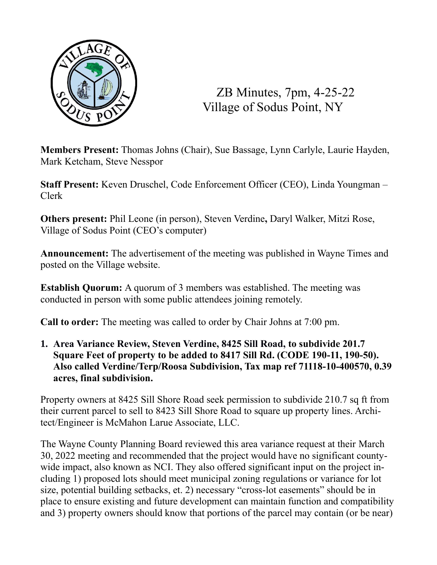

ZB Minutes, 7pm, 4-25-22 Village of Sodus Point, NY

**Members Present:** Thomas Johns (Chair), Sue Bassage, Lynn Carlyle, Laurie Hayden, Mark Ketcham, Steve Nesspor

**Staff Present:** Keven Druschel, Code Enforcement Officer (CEO), Linda Youngman – Clerk

**Others present:** Phil Leone (in person), Steven Verdine**,** Daryl Walker, Mitzi Rose, Village of Sodus Point (CEO's computer)

**Announcement:** The advertisement of the meeting was published in Wayne Times and posted on the Village website.

**Establish Quorum:** A quorum of 3 members was established. The meeting was conducted in person with some public attendees joining remotely.

**Call to order:** The meeting was called to order by Chair Johns at 7:00 pm.

**1. Area Variance Review, Steven Verdine, 8425 Sill Road, to subdivide 201.7 Square Feet of property to be added to 8417 Sill Rd. (CODE 190-11, 190-50). Also called Verdine/Terp/Roosa Subdivision, Tax map ref 71118-10-400570, 0.39 acres, final subdivision.**

Property owners at 8425 Sill Shore Road seek permission to subdivide 210.7 sq ft from their current parcel to sell to 8423 Sill Shore Road to square up property lines. Architect/Engineer is McMahon Larue Associate, LLC.

The Wayne County Planning Board reviewed this area variance request at their March 30, 2022 meeting and recommended that the project would have no significant countywide impact, also known as NCI. They also offered significant input on the project including 1) proposed lots should meet municipal zoning regulations or variance for lot size, potential building setbacks, et. 2) necessary "cross-lot easements" should be in place to ensure existing and future development can maintain function and compatibility and 3) property owners should know that portions of the parcel may contain (or be near)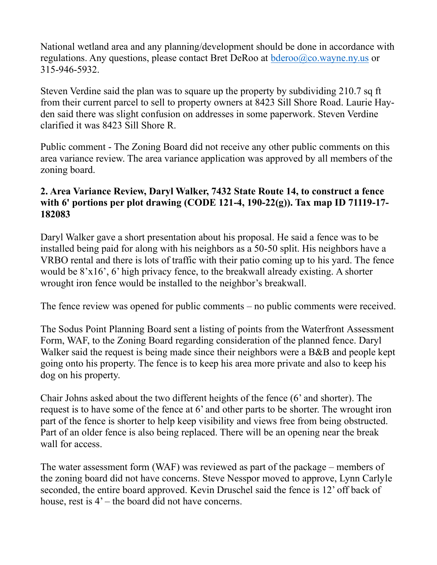National wetland area and any planning/development should be done in accordance with regulations. Any questions, please contact Bret DeRoo at  $bderoo@co.wayne.ny.us$  or 315-946-5932.

Steven Verdine said the plan was to square up the property by subdividing 210.7 sq ft from their current parcel to sell to property owners at 8423 Sill Shore Road. Laurie Hayden said there was slight confusion on addresses in some paperwork. Steven Verdine clarified it was 8423 Sill Shore R.

Public comment - The Zoning Board did not receive any other public comments on this area variance review. The area variance application was approved by all members of the zoning board.

## **2. Area Variance Review, Daryl Walker, 7432 State Route 14, to construct a fence with 6' portions per plot drawing (CODE 121-4, 190-22(g)). Tax map ID 71119-17- 182083**

Daryl Walker gave a short presentation about his proposal. He said a fence was to be installed being paid for along with his neighbors as a 50-50 split. His neighbors have a VRBO rental and there is lots of traffic with their patio coming up to his yard. The fence would be 8'x16', 6' high privacy fence, to the breakwall already existing. A shorter wrought iron fence would be installed to the neighbor's breakwall.

The fence review was opened for public comments – no public comments were received.

The Sodus Point Planning Board sent a listing of points from the Waterfront Assessment Form, WAF, to the Zoning Board regarding consideration of the planned fence. Daryl Walker said the request is being made since their neighbors were a B&B and people kept going onto his property. The fence is to keep his area more private and also to keep his dog on his property.

Chair Johns asked about the two different heights of the fence (6' and shorter). The request is to have some of the fence at 6' and other parts to be shorter. The wrought iron part of the fence is shorter to help keep visibility and views free from being obstructed. Part of an older fence is also being replaced. There will be an opening near the break wall for access.

The water assessment form (WAF) was reviewed as part of the package – members of the zoning board did not have concerns. Steve Nesspor moved to approve, Lynn Carlyle seconded, the entire board approved. Kevin Druschel said the fence is 12' off back of house, rest is  $4'$  – the board did not have concerns.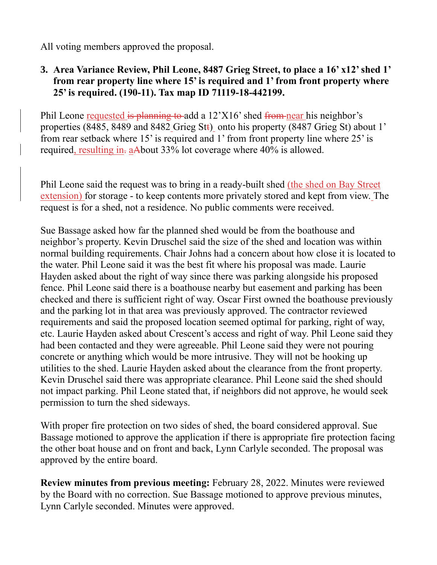All voting members approved the proposal.

**3. Area Variance Review, Phil Leone, 8487 Grieg Street, to place a 16' x12' shed 1' from rear property line where 15' is required and 1' from front property where 25' is required. (190-11). Tax map ID 71119-18-442199.**

Phil Leone requested is planning to add a  $12^{\circ}X16^{\circ}$  shed from near his neighbor's properties (8485, 8489 and 8482 Grieg Stt) onto his property (8487 Grieg St) about 1' from rear setback where 15' is required and 1' from front property line where 25' is required, resulting in. aAbout 33% lot coverage where 40% is allowed.

Phil Leone said the request was to bring in a ready-built shed (the shed on Bay Street extension) for storage - to keep contents more privately stored and kept from view. The request is for a shed, not a residence. No public comments were received.

Sue Bassage asked how far the planned shed would be from the boathouse and neighbor's property. Kevin Druschel said the size of the shed and location was within normal building requirements. Chair Johns had a concern about how close it is located to the water. Phil Leone said it was the best fit where his proposal was made. Laurie Hayden asked about the right of way since there was parking alongside his proposed fence. Phil Leone said there is a boathouse nearby but easement and parking has been checked and there is sufficient right of way. Oscar First owned the boathouse previously and the parking lot in that area was previously approved. The contractor reviewed requirements and said the proposed location seemed optimal for parking, right of way, etc. Laurie Hayden asked about Crescent's access and right of way. Phil Leone said they had been contacted and they were agreeable. Phil Leone said they were not pouring concrete or anything which would be more intrusive. They will not be hooking up utilities to the shed. Laurie Hayden asked about the clearance from the front property. Kevin Druschel said there was appropriate clearance. Phil Leone said the shed should not impact parking. Phil Leone stated that, if neighbors did not approve, he would seek permission to turn the shed sideways.

With proper fire protection on two sides of shed, the board considered approval. Sue Bassage motioned to approve the application if there is appropriate fire protection facing the other boat house and on front and back, Lynn Carlyle seconded. The proposal was approved by the entire board.

**Review minutes from previous meeting:** February 28, 2022. Minutes were reviewed by the Board with no correction. Sue Bassage motioned to approve previous minutes, Lynn Carlyle seconded. Minutes were approved.